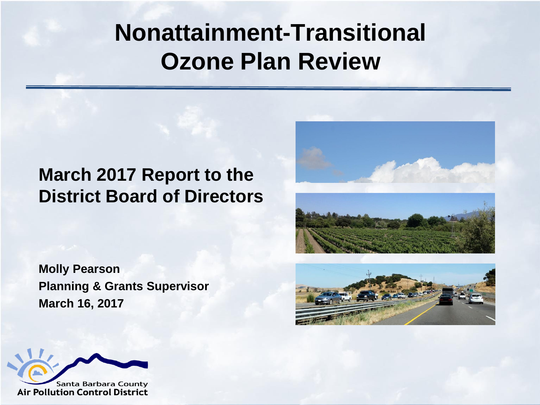#### **Nonattainment-Transitional Ozone Plan Review**

#### **March 2017 Report to the District Board of Directors**

**Molly Pearson Planning & Grants Supervisor March 16, 2017**





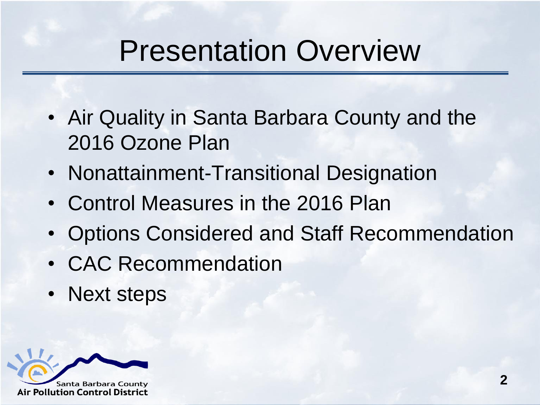#### Presentation Overview

- Air Quality in Santa Barbara County and the 2016 Ozone Plan
- Nonattainment-Transitional Designation
- Control Measures in the 2016 Plan
- Options Considered and Staff Recommendation
- CAC Recommendation
- Next steps

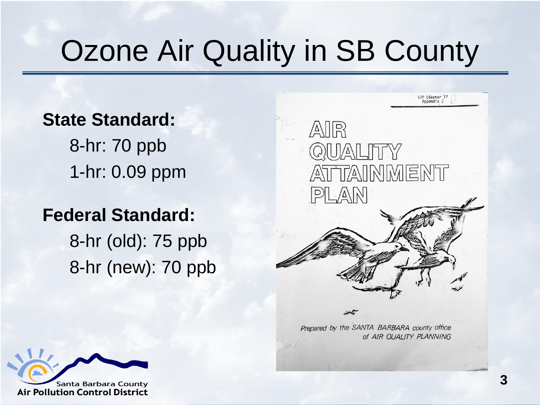## Ozone Air Quality in SB County

#### **State Standard:**

8-hr: 70 ppb 1-hr: 0.09 ppm

#### **Federal Standard:**

8-hr (old): 75 ppb 8-hr (new): 70 ppb



Prepared by the SANTA BARBARA county office of AIR QUALITY PLANNING

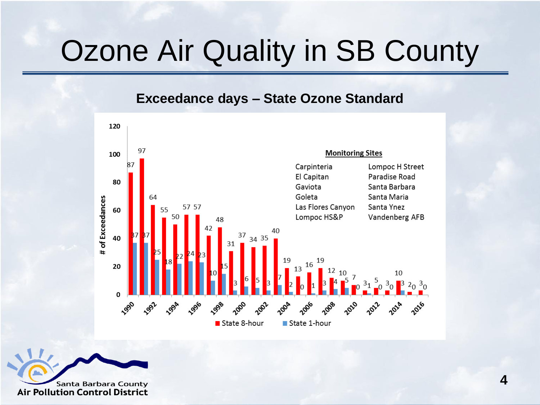## Ozone Air Quality in SB County

#### **Exceedance days – State Ozone Standard**



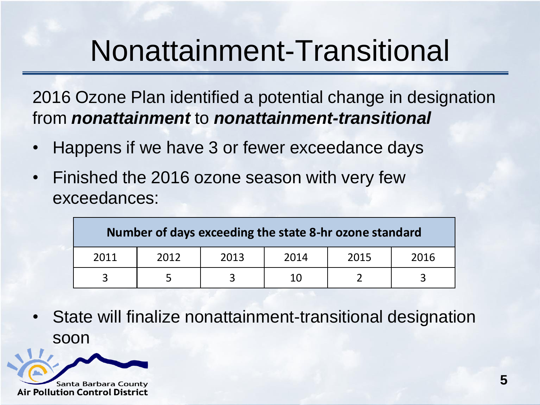### Nonattainment-Transitional

2016 Ozone Plan identified a potential change in designation from *nonattainment* to *nonattainment-transitional*

- Happens if we have 3 or fewer exceedance days
- Finished the 2016 ozone season with very few exceedances:

| Number of days exceeding the state 8-hr ozone standard |      |      |      |      |      |
|--------------------------------------------------------|------|------|------|------|------|
| 2011                                                   | 2012 | 2013 | 2014 | 2015 | 2016 |
|                                                        |      |      | 10   |      |      |

State will finalize nonattainment-transitional designation soon

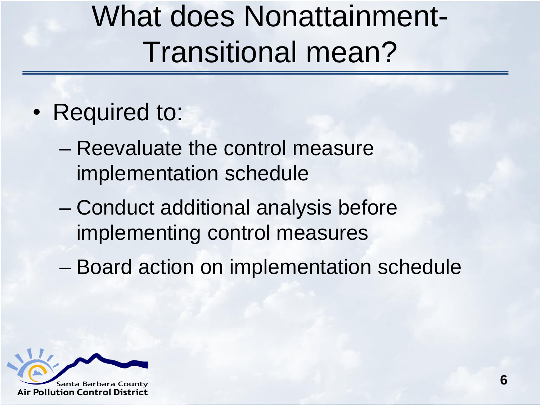# What does Nonattainment-Transitional mean?

- Required to:
	- Reevaluate the control measure implementation schedule
	- Conduct additional analysis before implementing control measures
	- Board action on implementation schedule

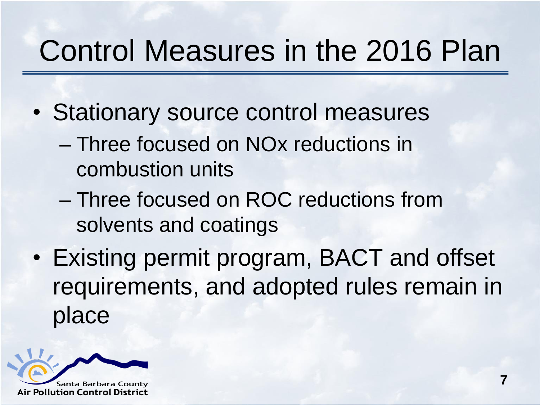## Control Measures in the 2016 Plan

- Stationary source control measures
	- Three focused on NOx reductions in combustion units
	- Three focused on ROC reductions from solvents and coatings
- Existing permit program, BACT and offset requirements, and adopted rules remain in place

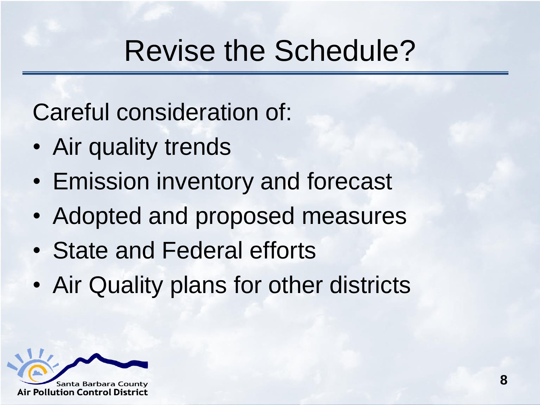#### Revise the Schedule?

Careful consideration of:

- Air quality trends
- Emission inventory and forecast
- Adopted and proposed measures
- State and Federal efforts
- Air Quality plans for other districts

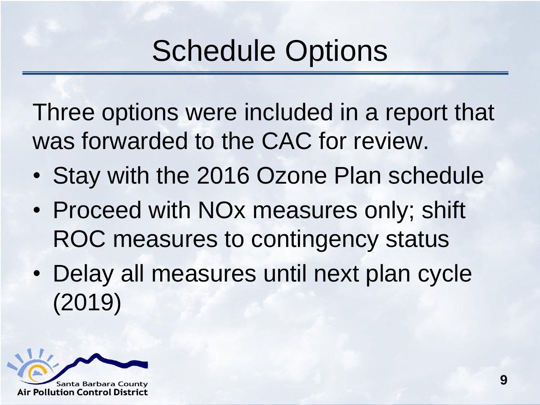## Schedule Options

Three options were included in a report that was forwarded to the CAC for review.

- Stay with the 2016 Ozone Plan schedule
- Proceed with NOx measures only; shift ROC measures to contingency status
- Delay all measures until next plan cycle (2019)

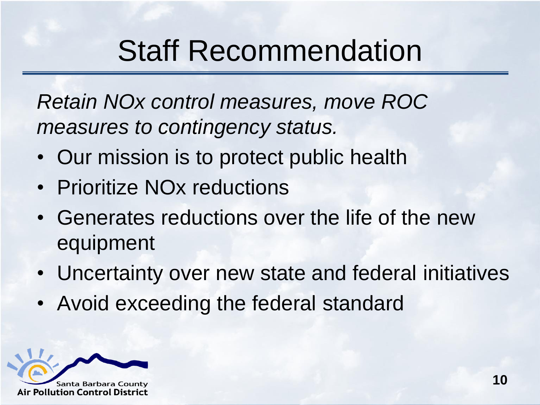## Staff Recommendation

*Retain NOx control measures, move ROC measures to contingency status.* 

- Our mission is to protect public health
- Prioritize NO<sub>x</sub> reductions
- Generates reductions over the life of the new equipment
- Uncertainty over new state and federal initiatives
- Avoid exceeding the federal standard

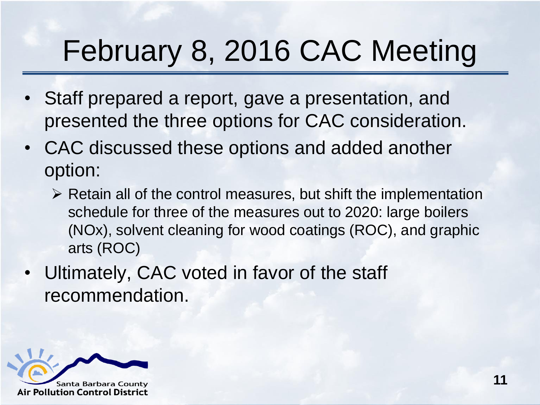# February 8, 2016 CAC Meeting

- Staff prepared a report, gave a presentation, and presented the three options for CAC consideration.
- CAC discussed these options and added another option:
	- $\triangleright$  Retain all of the control measures, but shift the implementation schedule for three of the measures out to 2020: large boilers (NOx), solvent cleaning for wood coatings (ROC), and graphic arts (ROC)
- Ultimately, CAC voted in favor of the staff recommendation.